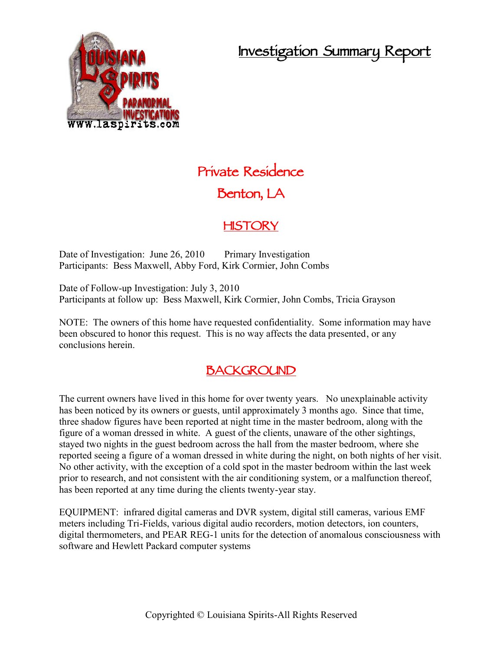## **Investigation Summary Report**



# **Private Residence Benton, LA**

### **HISTORY**

Date of Investigation: June 26, 2010 Primary Investigation Participants: Bess Maxwell, Abby Ford, Kirk Cormier, John Combs

Date of Follow-up Investigation: July 3, 2010 Participants at follow up: Bess Maxwell, Kirk Cormier, John Combs, Tricia Grayson

NOTE: The owners of this home have requested confidentiality. Some information may have been obscured to honor this request. This is no way affects the data presented, or any conclusions herein.

### **BACKGROUND**

The current owners have lived in this home for over twenty years. No unexplainable activity has been noticed by its owners or guests, until approximately 3 months ago. Since that time, three shadow figures have been reported at night time in the master bedroom, along with the figure of a woman dressed in white. A guest of the clients, unaware of the other sightings, stayed two nights in the guest bedroom across the hall from the master bedroom, where she reported seeing a figure of a woman dressed in white during the night, on both nights of her visit. No other activity, with the exception of a cold spot in the master bedroom within the last week prior to research, and not consistent with the air conditioning system, or a malfunction thereof, has been reported at any time during the clients twenty-year stay.

EQUIPMENT: infrared digital cameras and DVR system, digital still cameras, various EMF meters including Tri-Fields, various digital audio recorders, motion detectors, ion counters, digital thermometers, and PEAR REG-1 units for the detection of anomalous consciousness with software and Hewlett Packard computer systems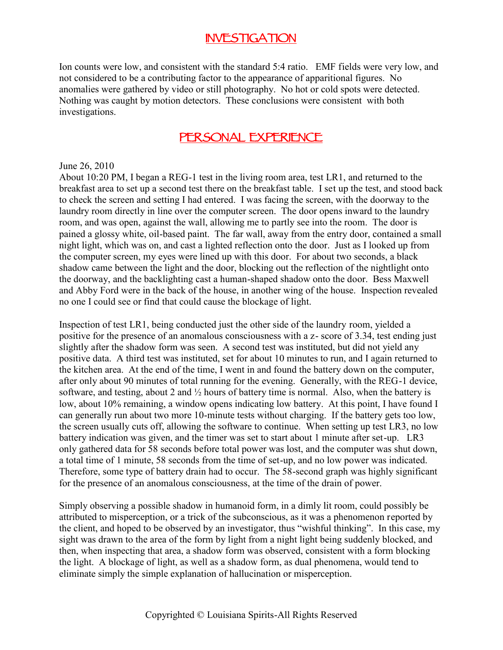### **INVESTIGATION**

Ion counts were low, and consistent with the standard 5:4 ratio. EMF fields were very low, and not considered to be a contributing factor to the appearance of apparitional figures. No anomalies were gathered by video or still photography. No hot or cold spots were detected. Nothing was caught by motion detectors. These conclusions were consistent with both investigations.

### **PERSONAL EXPERIENCE**

#### June 26, 2010

About 10:20 PM, I began a REG-1 test in the living room area, test LR1, and returned to the breakfast area to set up a second test there on the breakfast table. I set up the test, and stood back to check the screen and setting I had entered. I was facing the screen, with the doorway to the laundry room directly in line over the computer screen. The door opens inward to the laundry room, and was open, against the wall, allowing me to partly see into the room. The door is pained a glossy white, oil-based paint. The far wall, away from the entry door, contained a small night light, which was on, and cast a lighted reflection onto the door. Just as I looked up from the computer screen, my eyes were lined up with this door. For about two seconds, a black shadow came between the light and the door, blocking out the reflection of the nightlight onto the doorway, and the backlighting cast a human-shaped shadow onto the door. Bess Maxwell and Abby Ford were in the back of the house, in another wing of the house. Inspection revealed no one I could see or find that could cause the blockage of light.

Inspection of test LR1, being conducted just the other side of the laundry room, yielded a positive for the presence of an anomalous consciousness with a z- score of 3.34, test ending just slightly after the shadow form was seen. A second test was instituted, but did not yield any positive data. A third test was instituted, set for about 10 minutes to run, and I again returned to the kitchen area. At the end of the time, I went in and found the battery down on the computer, after only about 90 minutes of total running for the evening. Generally, with the REG-1 device, software, and testing, about 2 and  $\frac{1}{2}$  hours of battery time is normal. Also, when the battery is low, about 10% remaining, a window opens indicating low battery. At this point, I have found I can generally run about two more 10-minute tests without charging. If the battery gets too low, the screen usually cuts off, allowing the software to continue. When setting up test LR3, no low battery indication was given, and the timer was set to start about 1 minute after set-up. LR3 only gathered data for 58 seconds before total power was lost, and the computer was shut down, a total time of 1 minute, 58 seconds from the time of set-up, and no low power was indicated. Therefore, some type of battery drain had to occur. The 58-second graph was highly significant for the presence of an anomalous consciousness, at the time of the drain of power.

Simply observing a possible shadow in humanoid form, in a dimly lit room, could possibly be attributed to misperception, or a trick of the subconscious, as it was a phenomenon reported by the client, and hoped to be observed by an investigator, thus "wishful thinking". In this case, my sight was drawn to the area of the form by light from a night light being suddenly blocked, and then, when inspecting that area, a shadow form was observed, consistent with a form blocking the light. A blockage of light, as well as a shadow form, as dual phenomena, would tend to eliminate simply the simple explanation of hallucination or misperception.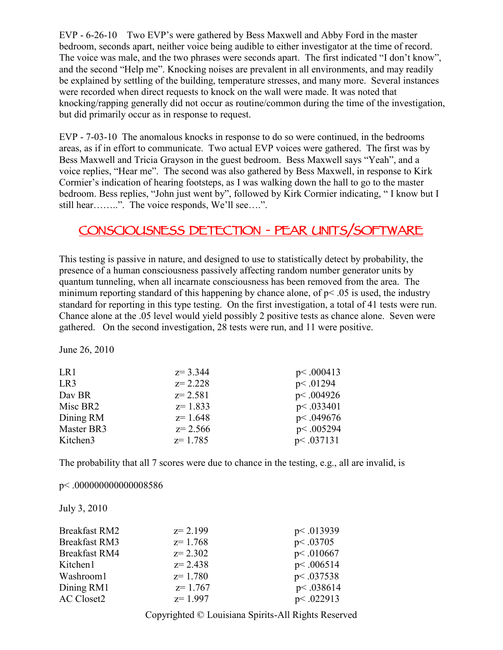EVP - 6-26-10 Two EVP's were gathered by Bess Maxwell and Abby Ford in the master bedroom, seconds apart, neither voice being audible to either investigator at the time of record. The voice was male, and the two phrases were seconds apart. The first indicated "I don't know", and the second "Help me". Knocking noises are prevalent in all environments, and may readily be explained by settling of the building, temperature stresses, and many more. Several instances were recorded when direct requests to knock on the wall were made. It was noted that knocking/rapping generally did not occur as routine/common during the time of the investigation, but did primarily occur as in response to request.

EVP - 7-03-10 The anomalous knocks in response to do so were continued, in the bedrooms areas, as if in effort to communicate. Two actual EVP voices were gathered. The first was by Bess Maxwell and Tricia Grayson in the guest bedroom. Bess Maxwell says "Yeah", and a voice replies, "Hear me". The second was also gathered by Bess Maxwell, in response to Kirk Cormier's indication of hearing footsteps, as I was walking down the hall to go to the master bedroom. Bess replies, "John just went by", followed by Kirk Cormier indicating, " I know but I still hear……..". The voice responds, We'll see….".

## **CONSCIOUSNESS DETECTION - PEAR UNITS/SOFTWARE**

This testing is passive in nature, and designed to use to statistically detect by probability, the presence of a human consciousness passively affecting random number generator units by quantum tunneling, when all incarnate consciousness has been removed from the area. The minimum reporting standard of this happening by chance alone, of  $p$  < .05 is used, the industry standard for reporting in this type testing. On the first investigation, a total of 41 tests were run. Chance alone at the .05 level would yield possibly 2 positive tests as chance alone. Seven were gathered. On the second investigation, 28 tests were run, and 11 were positive.

June 26, 2010

| LR1             | $z = 3.344$ | p<.000413 |
|-----------------|-------------|-----------|
| LR <sub>3</sub> | $z = 2.228$ | p<.01294  |
| Day BR          | $z = 2.581$ | p<.004926 |
| Misc BR2        | $z=1.833$   | p<.033401 |
| Dining RM       | $z=1.648$   | p<.049676 |
| Master BR3      | $z = 2.566$ | p<.005294 |
| Kitchen3        | $z=1.785$   | p<.037131 |

The probability that all 7 scores were due to chance in the testing, e.g., all are invalid, is

#### p< .000000000000008586

July 3, 2010

| <b>Breakfast RM2</b> | $z = 2.199$ | p<.013939 |
|----------------------|-------------|-----------|
| <b>Breakfast RM3</b> | $z = 1.768$ | p<.03705  |
| <b>Breakfast RM4</b> | $z = 2.302$ | p<.010667 |
| Kitchen1             | $z = 2.438$ | p<.006514 |
| Washroom1            | $z=1.780$   | p<.037538 |
| Dining RM1           | $z=1.767$   | p<.038614 |
| <b>AC Closet2</b>    | $z=1.997$   | p<.022913 |

Copyrighted © Louisiana Spirits-All Rights Reserved